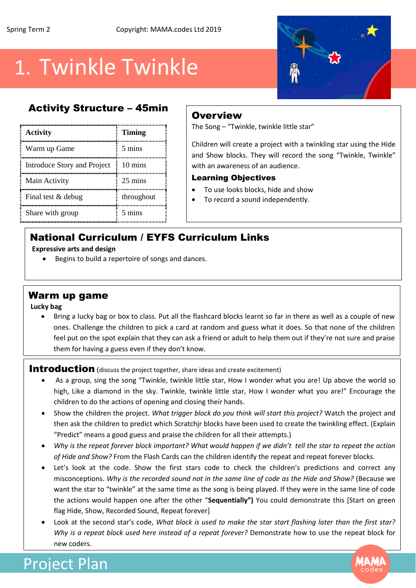## 1. Twinkle Twinkle

### Activity Structure – 45min

| Activity                    | <b>Timing</b> |
|-----------------------------|---------------|
| Warm up Game                | 5 mins        |
| Introduce Story and Project | 10 mins       |
| Main Activity               | 25 mins       |
| Final test & debug          | throughout    |
| Share with group            | 5 mins        |

### **Overview**

The Song – "Twinkle, twinkle little star"

Children will create a project with a twinkling star using the Hide and Show blocks. They will record the song "Twinkle, Twinkle" with an awareness of an audience.

#### Learning Objectives

- To use looks blocks, hide and show
- To record a sound independently.

### National Curriculum / EYFS Curriculum Links

**Expressive arts and design**

Begins to build a repertoire of songs and dances.

#### Warm up game

Project Plan

**Lucky bag**

 Bring a lucky bag or box to class. Put all the flashcard blocks learnt so far in there as well as a couple of new ones. Challenge the children to pick a card at random and guess what it does. So that none of the children feel put on the spot explain that they can ask a friend or adult to help them out if they're not sure and praise them for having a guess even if they don't know.

Introduction (discuss the project together, share ideas and create excitement)

- As a group, sing the song "Twinkle, twinkle little star, How I wonder what you are! Up above the world so high, Like a diamond in the sky. Twinkle, twinkle little star, How I wonder what you are!" Encourage the children to do the actions of opening and closing their hands.
- Show the children the project. *What trigger block do you think will start this project?* Watch the project and then ask the children to predict which Scratchjr blocks have been used to create the twinkling effect. (Explain "Predict" means a good guess and praise the children for all their attempts.)
- *Why is the repeat forever block important? What would happen if we didn't tell the star to repeat the action of Hide and Show?* From the Flash Cards can the children identify the repeat and repeat forever blocks.
- Let's look at the code. Show the first stars code to check the children's predictions and correct any misconceptions. *Why is the recorded sound not in the same line of code as the Hide and Show?* (Because we want the star to "twinkle" at the same time as the song is being played. If they were in the same line of code the actions would happen one after the other "**Sequentially")** You could demonstrate this [Start on green flag Hide, Show, Recorded Sound, Repeat forever]
- Look at the second star's code, *What block is used to make the star start flashing later than the first star? Why is a repeat block used here instead of a repeat forever?* Demonstrate how to use the repeat block for new coders.